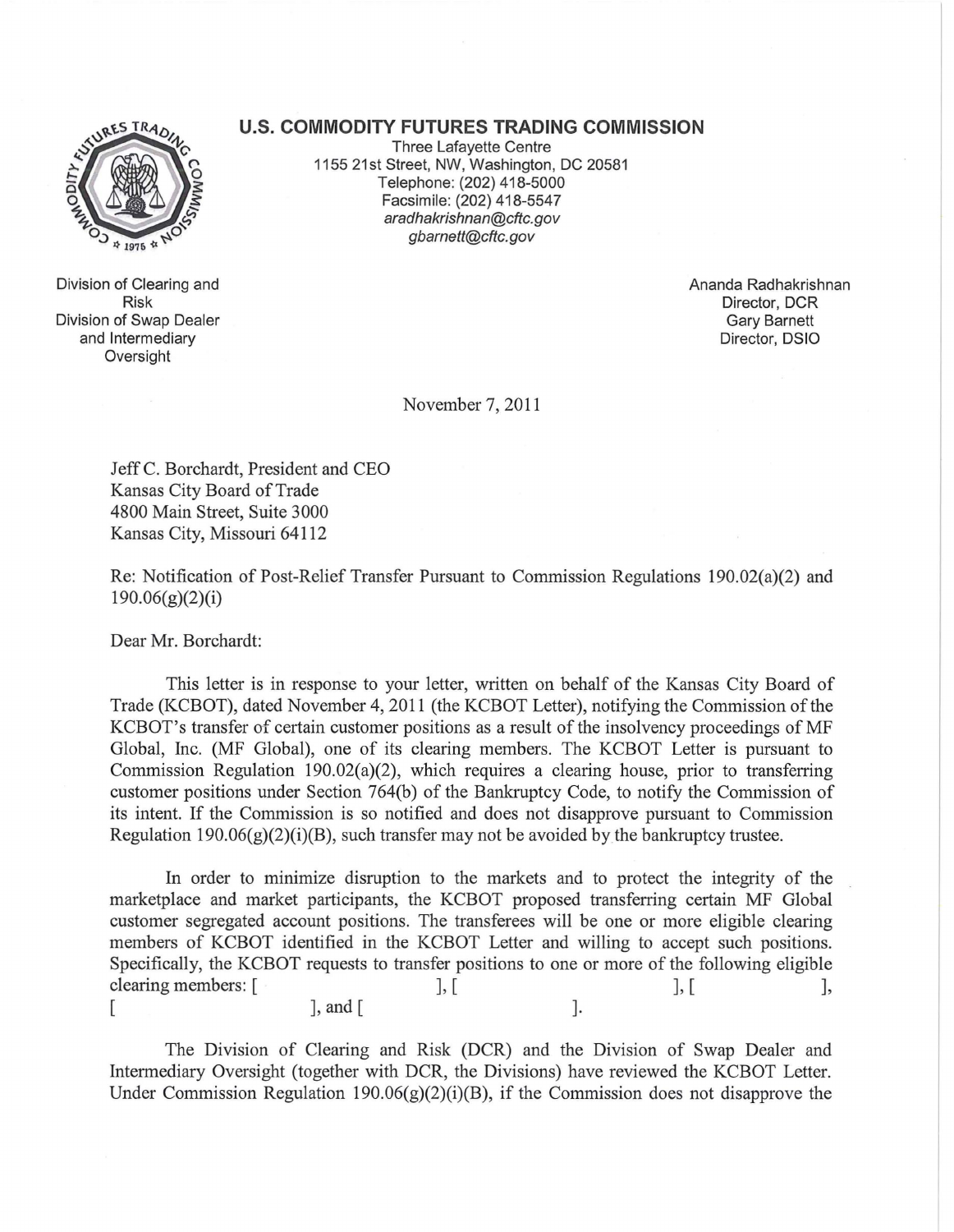## **U.S. COMMODITY FUTURES TRADING COMMISSION**



Division of Clearing and Risk Division of Swap Dealer and Intermediary Oversight

Three Lafayette Centre 1155 21st Street, NW, Washington, DC 20581 Telephone: (202) 418-5000 Facsimile: (202) 418-5547 aradhakrishnan@cftc.gov gbarnett@cftc.gov

> Ananda Radhakrishnan Director, DCR Gary Barnett Director, DSIO

November 7,2011

Jeff C. Borchardt, President and CEO Kansas City Board of Trade 4800 Main Street, Suite 3000 Kansas City, Missouri 64112

Re: Notification of Post-Relief Transfer Pursuant to Commission Regulations 190.02(a)(2) and  $190.06(g)(2)(i)$ 

Dear Mr. Borchardt:

This letter is in response to your letter, written on behalf of the Kansas City Board of Trade (KCBOT), dated November 4, 2011 (the KCBOT Letter), notifying the Commission of the KCBOT's transfer of certain customer positions as a result of the insolvency proceedings of MF Global, Inc. (MF Global), one of its clearing members. The KCBOT Letter is pursuant to Commission Regulation 190.02(a)(2), which requires a clearing house, prior to transferring customer positions under Section 764(b) of the Bankruptcy Code, to notify the Commission of its intent. If the Commission is so notified and does not disapprove pursuant to Commission Regulation  $190.06(g)(2)(i)(B)$ , such transfer may not be avoided by the bankruptcy trustee.

In order to minimize disruption to the markets and to protect the integrity of the marketplace and market participants, the KCBOT proposed transferring certain MF Global customer segregated account positions. The transferees will be one or more eligible clearing members of KCBOT identified in the KCBOT Letter and willing to accept such positions. Specifically, the KCBOT requests to transfer positions to one or more of the following eligible clearing members:  $[$ ,  $]$ ,  $[$  $\lbrack$ , and  $\lbrack$ 

The Division of Clearing and Risk (DCR) and the Division of Swap Dealer and Intermediary Oversight (together with DCR, the Divisions) have reviewed the KCBOT Letter. Under Commission Regulation 190.06 $(g)(2)(i)(B)$ , if the Commission does not disapprove the